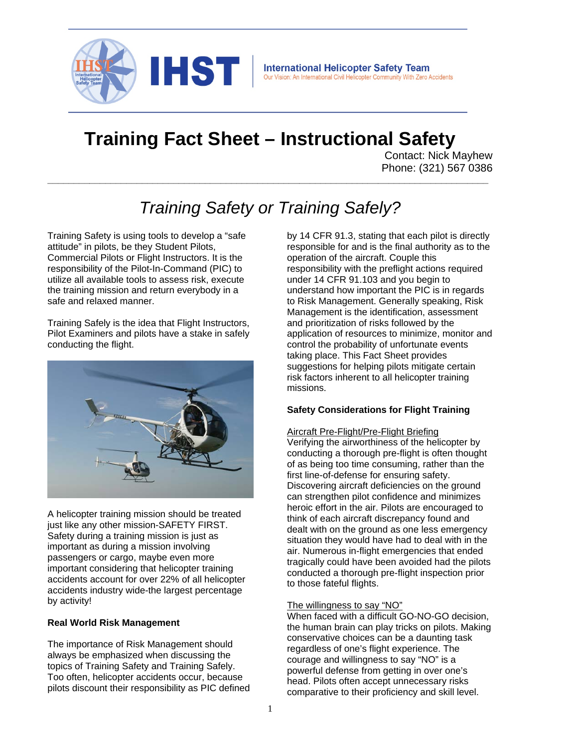

# **Training Fact Sheet – Instructional Safety**

Contact: Nick Mayhew Phone: (321) 567 0386

# *Training Safety or Training Safely?*

**\_\_\_\_\_\_\_\_\_\_\_\_\_\_\_\_\_\_\_\_\_\_\_\_\_\_\_\_\_\_\_\_\_\_\_\_\_\_\_\_\_\_\_\_\_\_\_\_\_\_\_\_\_\_\_\_\_\_\_\_\_\_\_\_\_\_\_\_\_\_\_\_\_\_\_\_\_\_\_\_\_\_\_\_**

Training Safety is using tools to develop a "safe attitude" in pilots, be they Student Pilots, Commercial Pilots or Flight Instructors. It is the responsibility of the Pilot-In-Command (PIC) to utilize all available tools to assess risk, execute the training mission and return everybody in a safe and relaxed manner.

Training Safely is the idea that Flight Instructors, Pilot Examiners and pilots have a stake in safely conducting the flight.



A helicopter training mission should be treated just like any other mission-SAFETY FIRST. Safety during a training mission is just as important as during a mission involving passengers or cargo, maybe even more important considering that helicopter training accidents account for over 22% of all helicopter accidents industry wide-the largest percentage by activity!

# **Real World Risk Management**

The importance of Risk Management should always be emphasized when discussing the topics of Training Safety and Training Safely. Too often, helicopter accidents occur, because pilots discount their responsibility as PIC defined by 14 CFR 91.3, stating that each pilot is directly responsible for and is the final authority as to the operation of the aircraft. Couple this responsibility with the preflight actions required under 14 CFR 91.103 and you begin to understand how important the PIC is in regards to Risk Management. Generally speaking, Risk Management is the identification, assessment and prioritization of risks followed by the application of resources to minimize, monitor and control the probability of unfortunate events taking place. This Fact Sheet provides suggestions for helping pilots mitigate certain risk factors inherent to all helicopter training missions.

# **Safety Considerations for Flight Training**

Aircraft Pre-Flight/Pre-Flight Briefing Verifying the airworthiness of the helicopter by conducting a thorough pre-flight is often thought of as being too time consuming, rather than the first line-of-defense for ensuring safety. Discovering aircraft deficiencies on the ground can strengthen pilot confidence and minimizes heroic effort in the air. Pilots are encouraged to think of each aircraft discrepancy found and dealt with on the ground as one less emergency situation they would have had to deal with in the air. Numerous in-flight emergencies that ended tragically could have been avoided had the pilots conducted a thorough pre-flight inspection prior to those fateful flights.

# The willingness to say "NO"

When faced with a difficult GO-NO-GO decision, the human brain can play tricks on pilots. Making conservative choices can be a daunting task regardless of one's flight experience. The courage and willingness to say "NO" is a powerful defense from getting in over one's head. Pilots often accept unnecessary risks comparative to their proficiency and skill level.